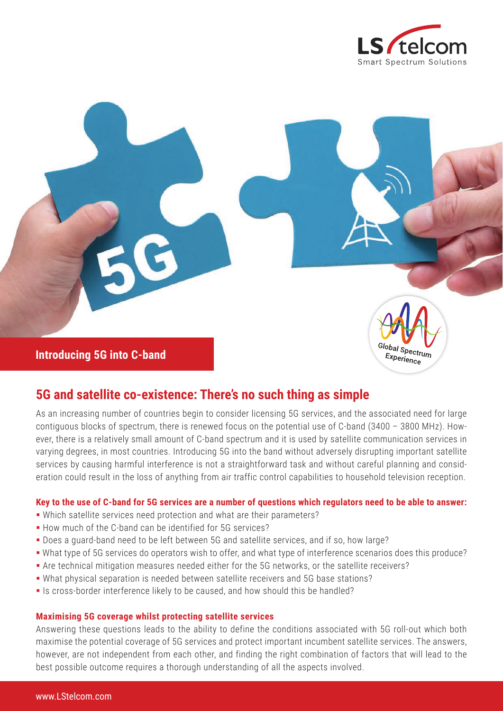



# **5G and satellite co-existence: There's no such thing as simple**

As an increasing number of countries begin to consider licensing 5G services, and the associated need for large contiguous blocks of spectrum, there is renewed focus on the potential use of C-band (3400 – 3800 MHz). However, there is a relatively small amount of C-band spectrum and it is used by satellite communication services in varying degrees, in most countries. Introducing 5G into the band without adversely disrupting important satellite services by causing harmful interference is not a straightforward task and without careful planning and consideration could result in the loss of anything from air traffic control capabilities to household television reception.

## **Key to the use of C-band for 5G services are a number of questions which regulators need to be able to answer:**

- Which satellite services need protection and what are their parameters?
- How much of the C-band can be identified for 5G services?
- Does a guard-band need to be left between 5G and satellite services, and if so, how large?
- What type of 5G services do operators wish to offer, and what type of interference scenarios does this produce?
- Are technical mitigation measures needed either for the 5G networks, or the satellite receivers?
- What physical separation is needed between satellite receivers and 5G base stations?
- Is cross-border interference likely to be caused, and how should this be handled?

#### **Maximising 5G coverage whilst protecting satellite services**

Answering these questions leads to the ability to define the conditions associated with 5G roll-out which both maximise the potential coverage of 5G services and protect important incumbent satellite services. The answers, however, are not independent from each other, and finding the right combination of factors that will lead to the best possible outcome requires a thorough understanding of all the aspects involved.